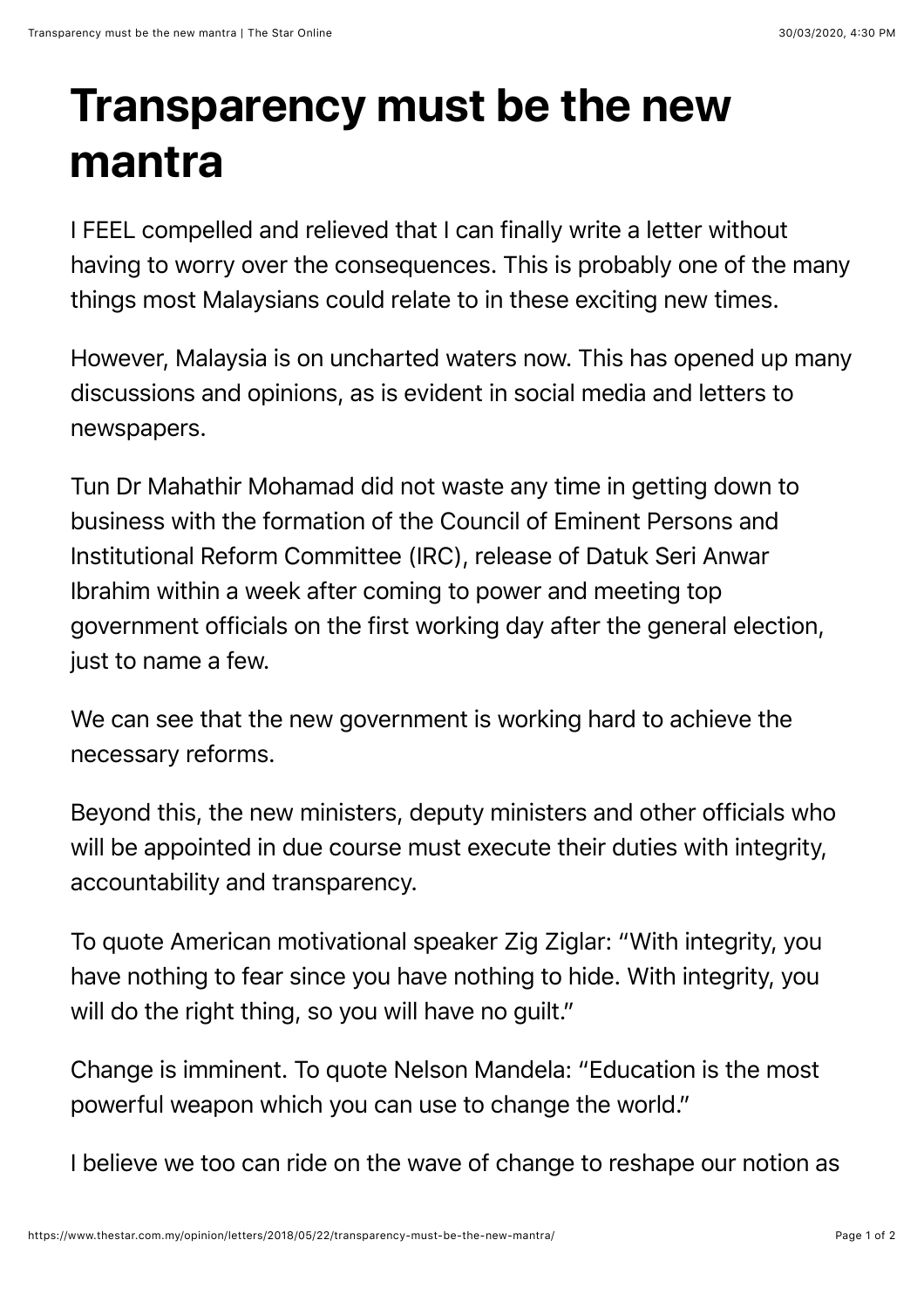## **Transparency must be the new mantra**

I FEEL compelled and relieved that I can finally write a letter without having to worry over the consequences. This is probably one of the many things most Malaysians could relate to in these exciting new times.

However, Malaysia is on uncharted waters now. This has opened up many discussions and opinions, as is evident in social media and letters to newspapers.

Tun Dr Mahathir Mohamad did not waste any time in getting down to business with the formation of the Council of Eminent Persons and Institutional Reform Committee (IRC), release of Datuk Seri Anwar Ibrahim within a week after coming to power and meeting top government officials on the first working day after the general election, just to name a few.

We can see that the new government is working hard to achieve the necessary reforms.

Beyond this, the new ministers, deputy ministers and other officials who will be appointed in due course must execute their duties with integrity, accountability and transparency.

To quote American motivational speaker Zig Ziglar: "With integrity, you have nothing to fear since you have nothing to hide. With integrity, you will do the right thing, so you will have no guilt."

Change is imminent. To quote Nelson Mandela: "Education is the most powerful weapon which you can use to change the world."

I believe we too can ride on the wave of change to reshape our notion as